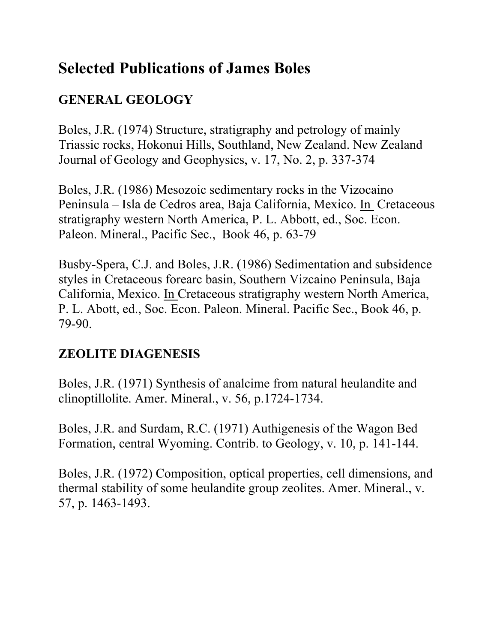# **Selected Publications of James Boles**

# **GENERAL GEOLOGY**

Boles, J.R. (1974) Structure, stratigraphy and petrology of mainly Triassic rocks, Hokonui Hills, Southland, New Zealand. New Zealand Journal of Geology and Geophysics, v. 17, No. 2, p. 337-374

Boles, J.R. (1986) Mesozoic sedimentary rocks in the Vizocaino Peninsula – Isla de Cedros area, Baja California, Mexico. In Cretaceous stratigraphy western North America, P. L. Abbott, ed., Soc. Econ. Paleon. Mineral., Pacific Sec., Book 46, p. 63-79

Busby-Spera, C.J. and Boles, J.R. (1986) Sedimentation and subsidence styles in Cretaceous forearc basin, Southern Vizcaino Peninsula, Baja California, Mexico. In Cretaceous stratigraphy western North America, P. L. Abott, ed., Soc. Econ. Paleon. Mineral. Pacific Sec., Book 46, p. 79-90.

# **ZEOLITE DIAGENESIS**

Boles, J.R. (1971) Synthesis of analcime from natural heulandite and clinoptillolite. Amer. Mineral., v. 56, p.1724-1734.

Boles, J.R. and Surdam, R.C. (1971) Authigenesis of the Wagon Bed Formation, central Wyoming. Contrib. to Geology, v. 10, p. 141-144.

Boles, J.R. (1972) Composition, optical properties, cell dimensions, and thermal stability of some heulandite group zeolites. Amer. Mineral., v. 57, p. 1463-1493.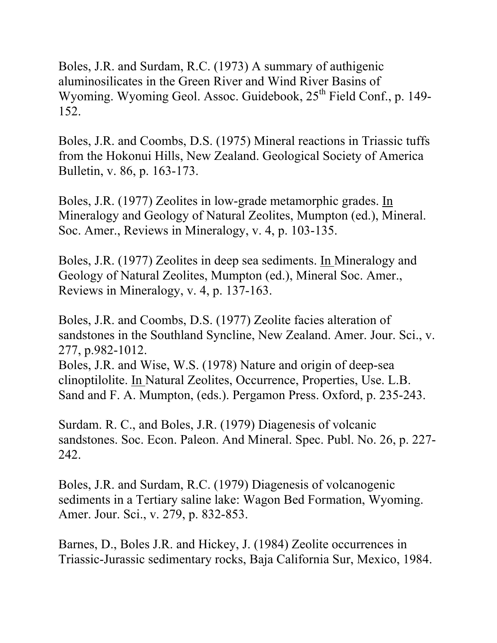Boles, J.R. and Surdam, R.C. (1973) A summary of authigenic aluminosilicates in the Green River and Wind River Basins of Wyoming. Wyoming Geol. Assoc. Guidebook,  $25<sup>th</sup>$  Field Conf., p. 149-152.

Boles, J.R. and Coombs, D.S. (1975) Mineral reactions in Triassic tuffs from the Hokonui Hills, New Zealand. Geological Society of America Bulletin, v. 86, p. 163-173.

Boles, J.R. (1977) Zeolites in low-grade metamorphic grades. In Mineralogy and Geology of Natural Zeolites, Mumpton (ed.), Mineral. Soc. Amer., Reviews in Mineralogy, v. 4, p. 103-135.

Boles, J.R. (1977) Zeolites in deep sea sediments. In Mineralogy and Geology of Natural Zeolites, Mumpton (ed.), Mineral Soc. Amer., Reviews in Mineralogy, v. 4, p. 137-163.

Boles, J.R. and Coombs, D.S. (1977) Zeolite facies alteration of sandstones in the Southland Syncline, New Zealand. Amer. Jour. Sci., v. 277, p.982-1012.

Boles, J.R. and Wise, W.S. (1978) Nature and origin of deep-sea clinoptilolite. In Natural Zeolites, Occurrence, Properties, Use. L.B. Sand and F. A. Mumpton, (eds.). Pergamon Press. Oxford, p. 235-243.

Surdam. R. C., and Boles, J.R. (1979) Diagenesis of volcanic sandstones. Soc. Econ. Paleon. And Mineral. Spec. Publ. No. 26, p. 227- 242.

Boles, J.R. and Surdam, R.C. (1979) Diagenesis of volcanogenic sediments in a Tertiary saline lake: Wagon Bed Formation, Wyoming. Amer. Jour. Sci., v. 279, p. 832-853.

Barnes, D., Boles J.R. and Hickey, J. (1984) Zeolite occurrences in Triassic-Jurassic sedimentary rocks, Baja California Sur, Mexico, 1984.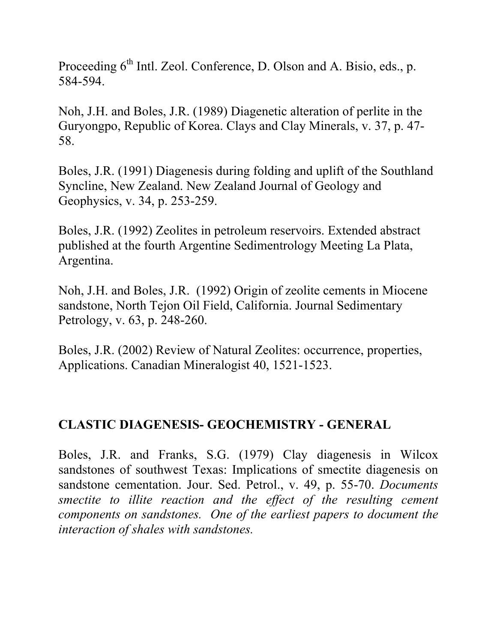Proceeding  $6<sup>th</sup>$  Intl. Zeol. Conference, D. Olson and A. Bisio, eds., p. 584-594.

Noh, J.H. and Boles, J.R. (1989) Diagenetic alteration of perlite in the Guryongpo, Republic of Korea. Clays and Clay Minerals, v. 37, p. 47- 58.

Boles, J.R. (1991) Diagenesis during folding and uplift of the Southland Syncline, New Zealand. New Zealand Journal of Geology and Geophysics, v. 34, p. 253-259.

Boles, J.R. (1992) Zeolites in petroleum reservoirs. Extended abstract published at the fourth Argentine Sedimentrology Meeting La Plata, Argentina.

Noh, J.H. and Boles, J.R. (1992) Origin of zeolite cements in Miocene sandstone, North Tejon Oil Field, California. Journal Sedimentary Petrology, v. 63, p. 248-260.

Boles, J.R. (2002) Review of Natural Zeolites: occurrence, properties, Applications. Canadian Mineralogist 40, 1521-1523.

#### **CLASTIC DIAGENESIS- GEOCHEMISTRY - GENERAL**

Boles, J.R. and Franks, S.G. (1979) Clay diagenesis in Wilcox sandstones of southwest Texas: Implications of smectite diagenesis on sandstone cementation. Jour. Sed. Petrol., v. 49, p. 55-70. *Documents smectite to illite reaction and the effect of the resulting cement components on sandstones. One of the earliest papers to document the interaction of shales with sandstones.*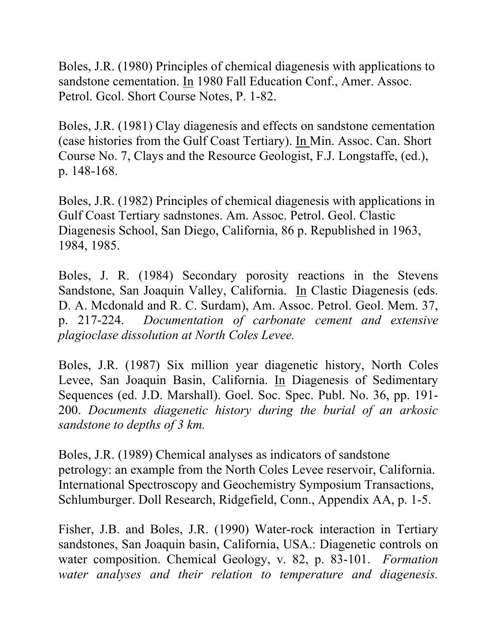Boles, J.R. (1980) Principles of chemical diagenesis with applications to sandstone cementation. In 1980 Fall Education Conf., Amer. Assoc. Petrol. Gcol. Short Course Notes, P. 1-82.

Boles, J.R. (1981) Clay diagenesis and effects on sandstone cementation (case histories from the Gulf Coast Tertiary). In Min. Assoc. Can. Short Course No. 7, Clays and the Resource Geologist, F.J. Longstaffe, (ed.), p. 148-168.

Boles, J.R. (1982) Principles of chemical diagenesis with applications in Gulf Coast Tertiary sadnstones. Am. Assoc. Petrol. Geol. Clastic Diagenesis School, San Diego, California, 86 p. Republished in 1963, 1984, 1985.

Boles, J. R. (1984) Secondary porosity reactions in the Stevens Sandstone, San Joaquin Valley, California. In Clastic Diagenesis (eds. D. A. Mcdonald and R. C. Surdam), Am. Assoc. Petrol. Geol. Mem. 37, p. 217-224. *Documentation of carbonate cement and extensive plagioclase dissolution at North Coles Levee.*

Boles, J.R. (1987) Six million year diagenetic history, North Coles Levee, San Joaquin Basin, California. In Diagenesis of Sedimentary Sequences (ed. J.D. Marshall). Goel. Soc. Spec. Publ. No. 36, pp. 191- 200. *Documents diagenetic history during the burial of an arkosic sandstone to depths of 3 km.* 

Boles, J.R. (1989) Chemical analyses as indicators of sandstone petrology: an example from the North Coles Levee reservoir, California. International Spectroscopy and Geochemistry Symposium Transactions, Schlumburger. Doll Research, Ridgefield, Conn., Appendix AA, p. 1-5.

Fisher, J.B. and Boles, J.R. (1990) Water-rock interaction in Tertiary sandstones, San Joaquin basin, California, USA.: Diagenetic controls on water composition. Chemical Geology, v. 82, p. 83-101. *Formation water analyses and their relation to temperature and diagenesis.*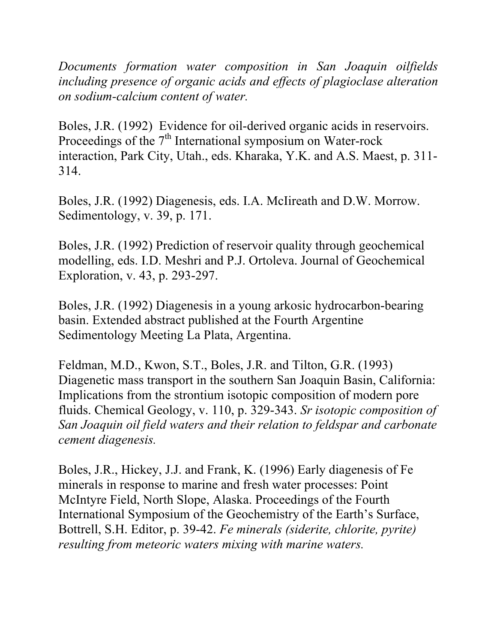*Documents formation water composition in San Joaquin oilfields including presence of organic acids and effects of plagioclase alteration on sodium-calcium content of water.* 

Boles, J.R. (1992) Evidence for oil-derived organic acids in reservoirs. Proceedings of the  $7<sup>th</sup>$  International symposium on Water-rock interaction, Park City, Utah., eds. Kharaka, Y.K. and A.S. Maest, p. 311- 314.

Boles, J.R. (1992) Diagenesis, eds. I.A. McIireath and D.W. Morrow. Sedimentology, v. 39, p. 171.

Boles, J.R. (1992) Prediction of reservoir quality through geochemical modelling, eds. I.D. Meshri and P.J. Ortoleva. Journal of Geochemical Exploration, v. 43, p. 293-297.

Boles, J.R. (1992) Diagenesis in a young arkosic hydrocarbon-bearing basin. Extended abstract published at the Fourth Argentine Sedimentology Meeting La Plata, Argentina.

Feldman, M.D., Kwon, S.T., Boles, J.R. and Tilton, G.R. (1993) Diagenetic mass transport in the southern San Joaquin Basin, California: Implications from the strontium isotopic composition of modern pore fluids. Chemical Geology, v. 110, p. 329-343. *Sr isotopic composition of San Joaquin oil field waters and their relation to feldspar and carbonate cement diagenesis.* 

Boles, J.R., Hickey, J.J. and Frank, K. (1996) Early diagenesis of Fe minerals in response to marine and fresh water processes: Point McIntyre Field, North Slope, Alaska. Proceedings of the Fourth International Symposium of the Geochemistry of the Earth's Surface, Bottrell, S.H. Editor, p. 39-42. *Fe minerals (siderite, chlorite, pyrite) resulting from meteoric waters mixing with marine waters.*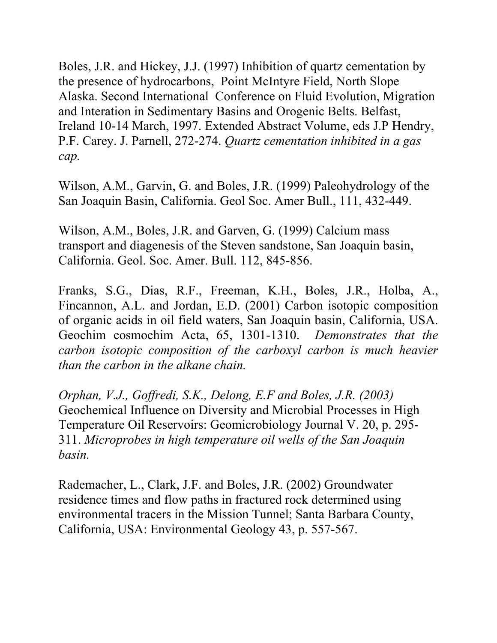Boles, J.R. and Hickey, J.J. (1997) Inhibition of quartz cementation by the presence of hydrocarbons, Point McIntyre Field, North Slope Alaska. Second International Conference on Fluid Evolution, Migration and Interation in Sedimentary Basins and Orogenic Belts. Belfast, Ireland 10-14 March, 1997. Extended Abstract Volume, eds J.P Hendry, P.F. Carey. J. Parnell, 272-274. *Quartz cementation inhibited in a gas cap.*

Wilson, A.M., Garvin, G. and Boles, J.R. (1999) Paleohydrology of the San Joaquin Basin, California. Geol Soc. Amer Bull., 111, 432-449.

Wilson, A.M., Boles, J.R. and Garven, G. (1999) Calcium mass transport and diagenesis of the Steven sandstone, San Joaquin basin, California. Geol. Soc. Amer. Bull. 112, 845-856.

Franks, S.G., Dias, R.F., Freeman, K.H., Boles, J.R., Holba, A., Fincannon, A.L. and Jordan, E.D. (2001) Carbon isotopic composition of organic acids in oil field waters, San Joaquin basin, California, USA. Geochim cosmochim Acta, 65, 1301-1310. *Demonstrates that the carbon isotopic composition of the carboxyl carbon is much heavier than the carbon in the alkane chain.*

*Orphan, V.J., Goffredi, S.K., Delong, E.F and Boles, J.R. (2003)* Geochemical Influence on Diversity and Microbial Processes in High Temperature Oil Reservoirs: Geomicrobiology Journal V. 20, p. 295- 311. *Microprobes in high temperature oil wells of the San Joaquin basin.* 

Rademacher, L., Clark, J.F. and Boles, J.R. (2002) Groundwater residence times and flow paths in fractured rock determined using environmental tracers in the Mission Tunnel; Santa Barbara County, California, USA: Environmental Geology 43, p. 557-567.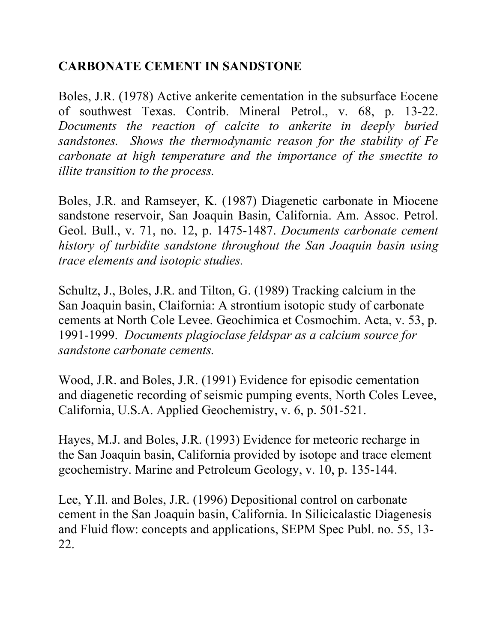## **CARBONATE CEMENT IN SANDSTONE**

Boles, J.R. (1978) Active ankerite cementation in the subsurface Eocene of southwest Texas. Contrib. Mineral Petrol., v. 68, p. 13-22. *Documents the reaction of calcite to ankerite in deeply buried sandstones. Shows the thermodynamic reason for the stability of Fe carbonate at high temperature and the importance of the smectite to illite transition to the process.*

Boles, J.R. and Ramseyer, K. (1987) Diagenetic carbonate in Miocene sandstone reservoir, San Joaquin Basin, California. Am. Assoc. Petrol. Geol. Bull., v. 71, no. 12, p. 1475-1487. *Documents carbonate cement history of turbidite sandstone throughout the San Joaquin basin using trace elements and isotopic studies.*

Schultz, J., Boles, J.R. and Tilton, G. (1989) Tracking calcium in the San Joaquin basin, Claifornia: A strontium isotopic study of carbonate cements at North Cole Levee. Geochimica et Cosmochim. Acta, v. 53, p. 1991-1999. *Documents plagioclase feldspar as a calcium source for sandstone carbonate cements.*

Wood, J.R. and Boles, J.R. (1991) Evidence for episodic cementation and diagenetic recording of seismic pumping events, North Coles Levee, California, U.S.A. Applied Geochemistry, v. 6, p. 501-521.

Hayes, M.J. and Boles, J.R. (1993) Evidence for meteoric recharge in the San Joaquin basin, California provided by isotope and trace element geochemistry. Marine and Petroleum Geology, v. 10, p. 135-144.

Lee, Y.Il. and Boles, J.R. (1996) Depositional control on carbonate cement in the San Joaquin basin, California. In Silicicalastic Diagenesis and Fluid flow: concepts and applications, SEPM Spec Publ. no. 55, 13- 22.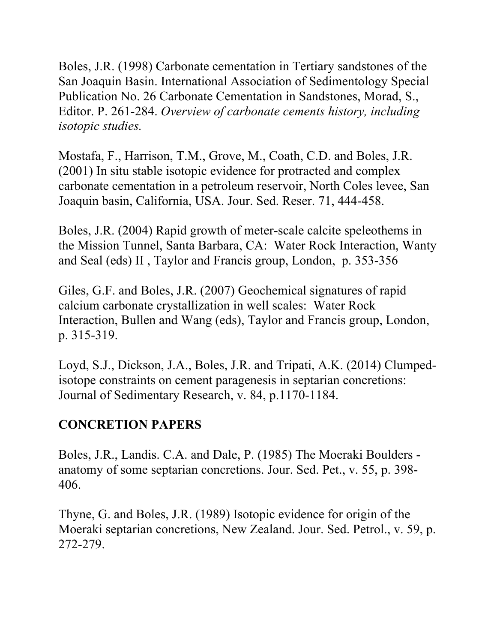Boles, J.R. (1998) Carbonate cementation in Tertiary sandstones of the San Joaquin Basin. International Association of Sedimentology Special Publication No. 26 Carbonate Cementation in Sandstones, Morad, S., Editor. P. 261-284. *Overview of carbonate cements history, including isotopic studies.*

Mostafa, F., Harrison, T.M., Grove, M., Coath, C.D. and Boles, J.R. (2001) In situ stable isotopic evidence for protracted and complex carbonate cementation in a petroleum reservoir, North Coles levee, San Joaquin basin, California, USA. Jour. Sed. Reser. 71, 444-458.

Boles, J.R. (2004) Rapid growth of meter-scale calcite speleothems in the Mission Tunnel, Santa Barbara, CA: Water Rock Interaction, Wanty and Seal (eds) II , Taylor and Francis group, London, p. 353-356

Giles, G.F. and Boles, J.R. (2007) Geochemical signatures of rapid calcium carbonate crystallization in well scales: Water Rock Interaction, Bullen and Wang (eds), Taylor and Francis group, London, p. 315-319.

Loyd, S.J., Dickson, J.A., Boles, J.R. and Tripati, A.K. (2014) Clumpedisotope constraints on cement paragenesis in septarian concretions: Journal of Sedimentary Research, v. 84, p.1170-1184.

## **CONCRETION PAPERS**

Boles, J.R., Landis. C.A. and Dale, P. (1985) The Moeraki Boulders anatomy of some septarian concretions. Jour. Sed. Pet., v. 55, p. 398- 406.

Thyne, G. and Boles, J.R. (1989) Isotopic evidence for origin of the Moeraki septarian concretions, New Zealand. Jour. Sed. Petrol., v. 59, p. 272-279.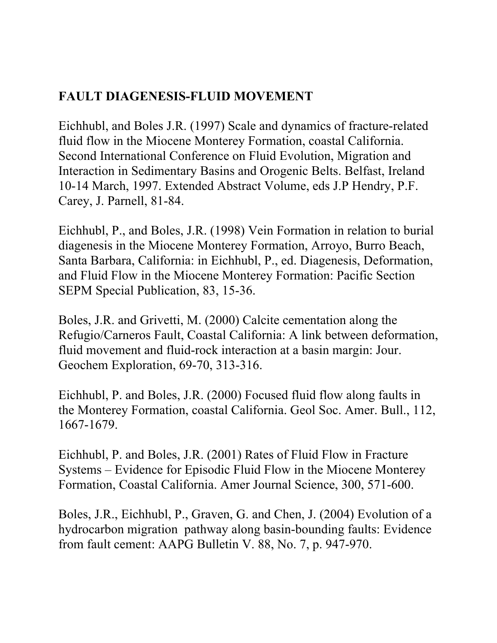## **FAULT DIAGENESIS-FLUID MOVEMENT**

Eichhubl, and Boles J.R. (1997) Scale and dynamics of fracture-related fluid flow in the Miocene Monterey Formation, coastal California. Second International Conference on Fluid Evolution, Migration and Interaction in Sedimentary Basins and Orogenic Belts. Belfast, Ireland 10-14 March, 1997. Extended Abstract Volume, eds J.P Hendry, P.F. Carey, J. Parnell, 81-84.

Eichhubl, P., and Boles, J.R. (1998) Vein Formation in relation to burial diagenesis in the Miocene Monterey Formation, Arroyo, Burro Beach, Santa Barbara, California: in Eichhubl, P., ed. Diagenesis, Deformation, and Fluid Flow in the Miocene Monterey Formation: Pacific Section SEPM Special Publication, 83, 15-36.

Boles, J.R. and Grivetti, M. (2000) Calcite cementation along the Refugio/Carneros Fault, Coastal California: A link between deformation, fluid movement and fluid-rock interaction at a basin margin: Jour. Geochem Exploration, 69-70, 313-316.

Eichhubl, P. and Boles, J.R. (2000) Focused fluid flow along faults in the Monterey Formation, coastal California. Geol Soc. Amer. Bull., 112, 1667-1679.

Eichhubl, P. and Boles, J.R. (2001) Rates of Fluid Flow in Fracture Systems – Evidence for Episodic Fluid Flow in the Miocene Monterey Formation, Coastal California. Amer Journal Science, 300, 571-600.

Boles, J.R., Eichhubl, P., Graven, G. and Chen, J. (2004) Evolution of a hydrocarbon migration pathway along basin-bounding faults: Evidence from fault cement: AAPG Bulletin V. 88, No. 7, p. 947-970.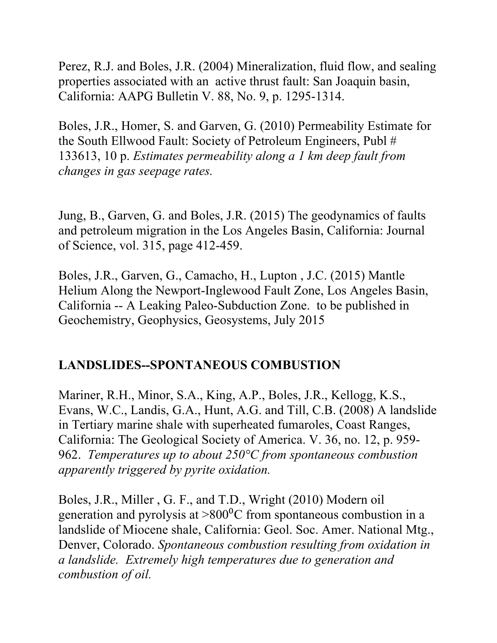Perez, R.J. and Boles, J.R. (2004) Mineralization, fluid flow, and sealing properties associated with an active thrust fault: San Joaquin basin, California: AAPG Bulletin V. 88, No. 9, p. 1295-1314.

Boles, J.R., Homer, S. and Garven, G. (2010) Permeability Estimate for the South Ellwood Fault: Society of Petroleum Engineers, Publ # 133613, 10 p. *Estimates permeability along a 1 km deep fault from changes in gas seepage rates.* 

Jung, B., Garven, G. and Boles, J.R. (2015) The geodynamics of faults and petroleum migration in the Los Angeles Basin, California: Journal of Science, vol. 315, page 412-459.

Boles, J.R., Garven, G., Camacho, H., Lupton , J.C. (2015) Mantle Helium Along the Newport-Inglewood Fault Zone, Los Angeles Basin, California -- A Leaking Paleo-Subduction Zone. to be published in Geochemistry, Geophysics, Geosystems, July 2015

#### **LANDSLIDES--SPONTANEOUS COMBUSTION**

Mariner, R.H., Minor, S.A., King, A.P., Boles, J.R., Kellogg, K.S., Evans, W.C., Landis, G.A., Hunt, A.G. and Till, C.B. (2008) A landslide in Tertiary marine shale with superheated fumaroles, Coast Ranges, California: The Geological Society of America. V. 36, no. 12, p. 959- 962. *Temperatures up to about 250°C from spontaneous combustion apparently triggered by pyrite oxidation.* 

Boles, J.R., Miller , G. F., and T.D., Wright (2010) Modern oil generation and pyrolysis at  $>800^{\circ}$ C from spontaneous combustion in a landslide of Miocene shale, California: Geol. Soc. Amer. National Mtg., Denver, Colorado. *Spontaneous combustion resulting from oxidation in a landslide. Extremely high temperatures due to generation and combustion of oil.*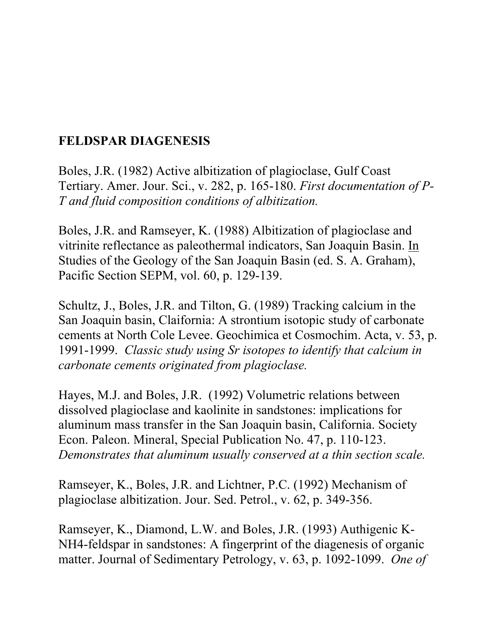## **FELDSPAR DIAGENESIS**

Boles, J.R. (1982) Active albitization of plagioclase, Gulf Coast Tertiary. Amer. Jour. Sci., v. 282, p. 165-180. *First documentation of P-T and fluid composition conditions of albitization.*

Boles, J.R. and Ramseyer, K. (1988) Albitization of plagioclase and vitrinite reflectance as paleothermal indicators, San Joaquin Basin. In Studies of the Geology of the San Joaquin Basin (ed. S. A. Graham), Pacific Section SEPM, vol. 60, p. 129-139.

Schultz, J., Boles, J.R. and Tilton, G. (1989) Tracking calcium in the San Joaquin basin, Claifornia: A strontium isotopic study of carbonate cements at North Cole Levee. Geochimica et Cosmochim. Acta, v. 53, p. 1991-1999. *Classic study using Sr isotopes to identify that calcium in carbonate cements originated from plagioclase.*

Hayes, M.J. and Boles, J.R. (1992) Volumetric relations between dissolved plagioclase and kaolinite in sandstones: implications for aluminum mass transfer in the San Joaquin basin, California. Society Econ. Paleon. Mineral, Special Publication No. 47, p. 110-123. *Demonstrates that aluminum usually conserved at a thin section scale.* 

Ramseyer, K., Boles, J.R. and Lichtner, P.C. (1992) Mechanism of plagioclase albitization. Jour. Sed. Petrol., v. 62, p. 349-356.

Ramseyer, K., Diamond, L.W. and Boles, J.R. (1993) Authigenic K-NH4-feldspar in sandstones: A fingerprint of the diagenesis of organic matter. Journal of Sedimentary Petrology, v. 63, p. 1092-1099. *One of*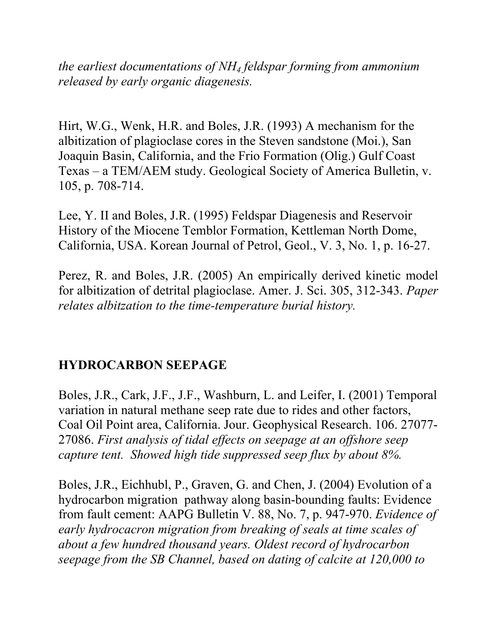*the earliest documentations of NH4 feldspar forming from ammonium released by early organic diagenesis.*

Hirt, W.G., Wenk, H.R. and Boles, J.R. (1993) A mechanism for the albitization of plagioclase cores in the Steven sandstone (Moi.), San Joaquin Basin, California, and the Frio Formation (Olig.) Gulf Coast Texas – a TEM/AEM study. Geological Society of America Bulletin, v. 105, p. 708-714.

Lee, Y. II and Boles, J.R. (1995) Feldspar Diagenesis and Reservoir History of the Miocene Temblor Formation, Kettleman North Dome, California, USA. Korean Journal of Petrol, Geol., V. 3, No. 1, p. 16-27.

Perez, R. and Boles, J.R. (2005) An empirically derived kinetic model for albitization of detrital plagioclase. Amer. J. Sci. 305, 312-343. *Paper relates albitzation to the time-temperature burial history.*

#### **HYDROCARBON SEEPAGE**

Boles, J.R., Cark, J.F., J.F., Washburn, L. and Leifer, I. (2001) Temporal variation in natural methane seep rate due to rides and other factors, Coal Oil Point area, California. Jour. Geophysical Research. 106. 27077- 27086. *First analysis of tidal effects on seepage at an offshore seep capture tent. Showed high tide suppressed seep flux by about 8%.* 

Boles, J.R., Eichhubl, P., Graven, G. and Chen, J. (2004) Evolution of a hydrocarbon migration pathway along basin-bounding faults: Evidence from fault cement: AAPG Bulletin V. 88, No. 7, p. 947-970. *Evidence of early hydrocacron migration from breaking of seals at time scales of about a few hundred thousand years. Oldest record of hydrocarbon seepage from the SB Channel, based on dating of calcite at 120,000 to*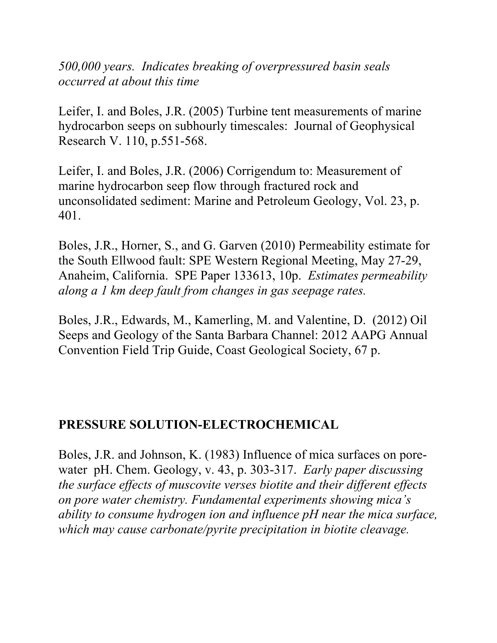*500,000 years. Indicates breaking of overpressured basin seals occurred at about this time*

Leifer, I. and Boles, J.R. (2005) Turbine tent measurements of marine hydrocarbon seeps on subhourly timescales: Journal of Geophysical Research V. 110, p.551-568.

Leifer, I. and Boles, J.R. (2006) Corrigendum to: Measurement of marine hydrocarbon seep flow through fractured rock and unconsolidated sediment: Marine and Petroleum Geology, Vol. 23, p. 401.

Boles, J.R., Horner, S., and G. Garven (2010) Permeability estimate for the South Ellwood fault: SPE Western Regional Meeting, May 27-29, Anaheim, California. SPE Paper 133613, 10p. *Estimates permeability along a 1 km deep fault from changes in gas seepage rates.* 

Boles, J.R., Edwards, M., Kamerling, M. and Valentine, D. (2012) Oil Seeps and Geology of the Santa Barbara Channel: 2012 AAPG Annual Convention Field Trip Guide, Coast Geological Society, 67 p.

## **PRESSURE SOLUTION-ELECTROCHEMICAL**

Boles, J.R. and Johnson, K. (1983) Influence of mica surfaces on porewater pH. Chem. Geology, v. 43, p. 303-317. *Early paper discussing the surface effects of muscovite verses biotite and their different effects on pore water chemistry. Fundamental experiments showing mica's ability to consume hydrogen ion and influence pH near the mica surface, which may cause carbonate/pyrite precipitation in biotite cleavage.*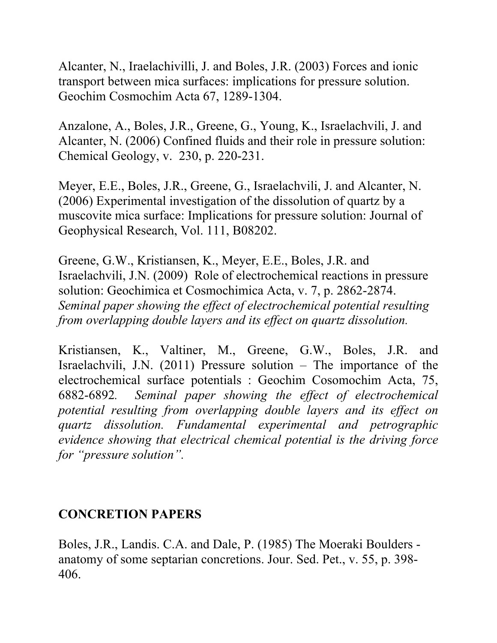Alcanter, N., Iraelachivilli, J. and Boles, J.R. (2003) Forces and ionic transport between mica surfaces: implications for pressure solution. Geochim Cosmochim Acta 67, 1289-1304.

Anzalone, A., Boles, J.R., Greene, G., Young, K., Israelachvili, J. and Alcanter, N. (2006) Confined fluids and their role in pressure solution: Chemical Geology, v. 230, p. 220-231.

Meyer, E.E., Boles, J.R., Greene, G., Israelachvili, J. and Alcanter, N. (2006) Experimental investigation of the dissolution of quartz by a muscovite mica surface: Implications for pressure solution: Journal of Geophysical Research, Vol. 111, B08202.

Greene, G.W., Kristiansen, K., Meyer, E.E., Boles, J.R. and Israelachvili, J.N. (2009) Role of electrochemical reactions in pressure solution: Geochimica et Cosmochimica Acta, v. 7, p. 2862-2874. *Seminal paper showing the effect of electrochemical potential resulting from overlapping double layers and its effect on quartz dissolution.* 

Kristiansen, K., Valtiner, M., Greene, G.W., Boles, J.R. and Israelachvili, J.N. (2011) Pressure solution – The importance of the electrochemical surface potentials : Geochim Cosomochim Acta, 75, 6882-6892*. Seminal paper showing the effect of electrochemical potential resulting from overlapping double layers and its effect on quartz dissolution. Fundamental experimental and petrographic evidence showing that electrical chemical potential is the driving force for "pressure solution".*

#### **CONCRETION PAPERS**

Boles, J.R., Landis. C.A. and Dale, P. (1985) The Moeraki Boulders anatomy of some septarian concretions. Jour. Sed. Pet., v. 55, p. 398- 406.